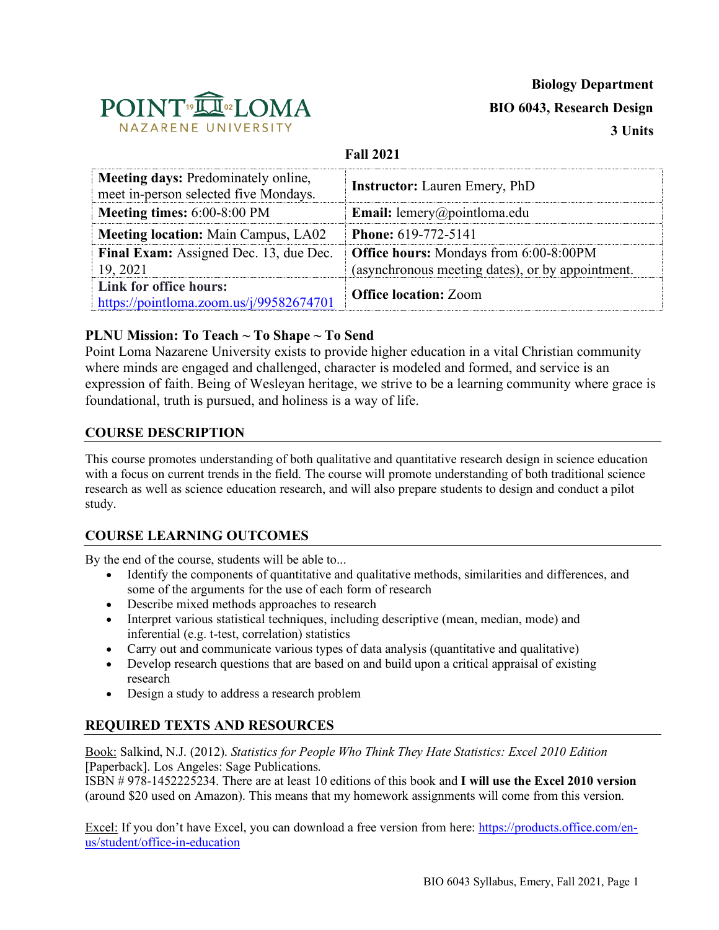

#### **Fall 2021**

| <b>Meeting days: Predominately online,</b><br>meet in-person selected five Mondays. | <b>Instructor:</b> Lauren Emery, PhD                                                              |  |
|-------------------------------------------------------------------------------------|---------------------------------------------------------------------------------------------------|--|
| Meeting times: $6:00-8:00$ PM                                                       | <b>Email:</b> lemery@pointloma.edu                                                                |  |
| <b>Meeting location:</b> Main Campus, LA02                                          | <b>Phone: 619-772-5141</b>                                                                        |  |
| Final Exam: Assigned Dec. 13, due Dec.<br>19, 2021                                  | <b>Office hours:</b> Mondays from 6:00-8:00PM<br>(asynchronous meeting dates), or by appointment. |  |
| Link for office hours:<br>https://pointloma.zoom.us/j/99582674701                   | <b>Office location: Zoom</b>                                                                      |  |

## **PLNU Mission: To Teach ~ To Shape ~ To Send**

Point Loma Nazarene University exists to provide higher education in a vital Christian community where minds are engaged and challenged, character is modeled and formed, and service is an expression of faith. Being of Wesleyan heritage, we strive to be a learning community where grace is foundational, truth is pursued, and holiness is a way of life.

#### **COURSE DESCRIPTION**

This course promotes understanding of both qualitative and quantitative research design in science education with a focus on current trends in the field. The course will promote understanding of both traditional science research as well as science education research, and will also prepare students to design and conduct a pilot study.

## **COURSE LEARNING OUTCOMES**

By the end of the course, students will be able to...

- Identify the components of quantitative and qualitative methods, similarities and differences, and some of the arguments for the use of each form of research
- Describe mixed methods approaches to research
- Interpret various statistical techniques, including descriptive (mean, median, mode) and inferential (e.g. t-test, correlation) statistics
- Carry out and communicate various types of data analysis (quantitative and qualitative)
- Develop research questions that are based on and build upon a critical appraisal of existing research
- Design a study to address a research problem

## **REQUIRED TEXTS AND RESOURCES**

Book: Salkind, N.J. (2012). *Statistics for People Who Think They Hate Statistics: Excel 2010 Edition*  [Paperback]. Los Angeles: Sage Publications.

ISBN # 978-1452225234. There are at least 10 editions of this book and **I will use the Excel 2010 version**  (around \$20 used on Amazon). This means that my homework assignments will come from this version.

Excel: If you don't have Excel, you can download a free version from here: https://products.office.com/enus/student/office-in-education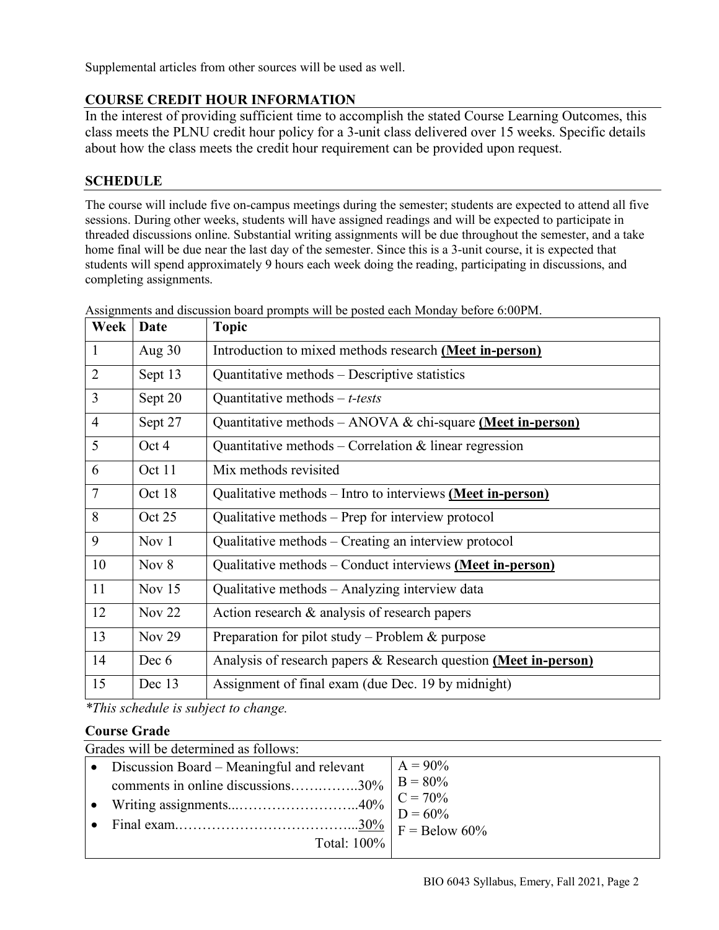Supplemental articles from other sources will be used as well.

# **COURSE CREDIT HOUR INFORMATION**

In the interest of providing sufficient time to accomplish the stated Course Learning Outcomes, this class meets the PLNU credit hour policy for a 3-unit class delivered over 15 weeks. Specific details about how the class meets the credit hour requirement can be provided upon request.

## **SCHEDULE**

The course will include five on-campus meetings during the semester; students are expected to attend all five sessions. During other weeks, students will have assigned readings and will be expected to participate in threaded discussions online. Substantial writing assignments will be due throughout the semester, and a take home final will be due near the last day of the semester. Since this is a 3-unit course, it is expected that students will spend approximately 9 hours each week doing the reading, participating in discussions, and completing assignments.

| Week           | Date     | <b>Topic</b>                                                     |
|----------------|----------|------------------------------------------------------------------|
| $\mathbf{1}$   | Aug $30$ | Introduction to mixed methods research (Meet in-person)          |
| $\overline{2}$ | Sept 13  | Quantitative methods – Descriptive statistics                    |
| 3              | Sept 20  | Quantitative methods $-t$ -tests                                 |
| $\overline{4}$ | Sept 27  | Quantitative methods – ANOVA & chi-square (Meet in-person)       |
| 5              | Oct 4    | Quantitative methods – Correlation $\&$ linear regression        |
| 6              | Oct 11   | Mix methods revisited                                            |
| $\tau$         | Oct 18   | Qualitative methods – Intro to interviews (Meet in-person)       |
| 8              | Oct 25   | Qualitative methods – Prep for interview protocol                |
| 9              | Nov $1$  | Qualitative methods – Creating an interview protocol             |
| 10             | Nov $8$  | Qualitative methods – Conduct interviews (Meet in-person)        |
| 11             | Nov $15$ | Qualitative methods - Analyzing interview data                   |
| 12             | Nov $22$ | Action research $\&$ analysis of research papers                 |
| 13             | Nov $29$ | Preparation for pilot study – Problem $\&$ purpose               |
| 14             | Dec 6    | Analysis of research papers & Research question (Meet in-person) |
| 15             | Dec 13   | Assignment of final exam (due Dec. 19 by midnight)               |

Assignments and discussion board prompts will be posted each Monday before 6:00PM.

*\*This schedule is subject to change.*

## **Course Grade**

| Grades will be determined as follows: |                                                |            |  |  |  |  |
|---------------------------------------|------------------------------------------------|------------|--|--|--|--|
|                                       | • Discussion Board – Meaningful and relevant   | $A = 90\%$ |  |  |  |  |
|                                       | comments in online discussions30%   B = $80\%$ |            |  |  |  |  |
|                                       |                                                |            |  |  |  |  |
|                                       |                                                |            |  |  |  |  |
|                                       |                                                |            |  |  |  |  |
|                                       | Total: 100%                                    |            |  |  |  |  |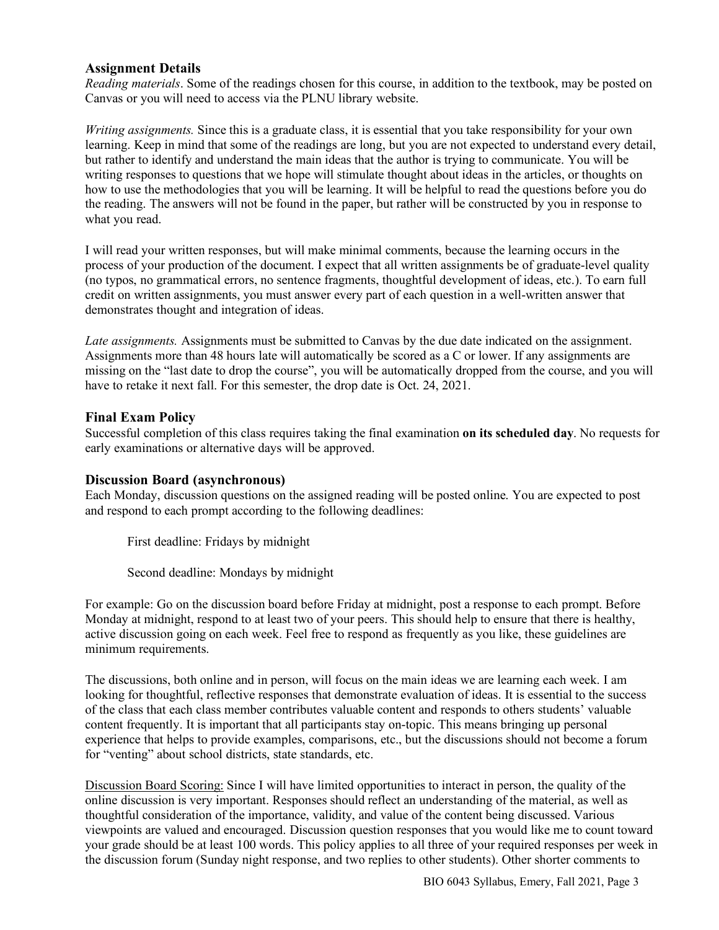#### **Assignment Details**

*Reading materials*. Some of the readings chosen for this course, in addition to the textbook, may be posted on Canvas or you will need to access via the PLNU library website.

*Writing assignments.* Since this is a graduate class, it is essential that you take responsibility for your own learning. Keep in mind that some of the readings are long, but you are not expected to understand every detail, but rather to identify and understand the main ideas that the author is trying to communicate. You will be writing responses to questions that we hope will stimulate thought about ideas in the articles, or thoughts on how to use the methodologies that you will be learning. It will be helpful to read the questions before you do the reading. The answers will not be found in the paper, but rather will be constructed by you in response to what you read.

I will read your written responses, but will make minimal comments, because the learning occurs in the process of your production of the document. I expect that all written assignments be of graduate-level quality (no typos, no grammatical errors, no sentence fragments, thoughtful development of ideas, etc.). To earn full credit on written assignments, you must answer every part of each question in a well-written answer that demonstrates thought and integration of ideas.

*Late assignments.* Assignments must be submitted to Canvas by the due date indicated on the assignment. Assignments more than 48 hours late will automatically be scored as a C or lower. If any assignments are missing on the "last date to drop the course", you will be automatically dropped from the course, and you will have to retake it next fall. For this semester, the drop date is Oct. 24, 2021.

#### **Final Exam Policy**

Successful completion of this class requires taking the final examination **on its scheduled day**. No requests for early examinations or alternative days will be approved.

#### **Discussion Board (asynchronous)**

Each Monday, discussion questions on the assigned reading will be posted online. You are expected to post and respond to each prompt according to the following deadlines:

First deadline: Fridays by midnight

Second deadline: Mondays by midnight

For example: Go on the discussion board before Friday at midnight, post a response to each prompt. Before Monday at midnight, respond to at least two of your peers. This should help to ensure that there is healthy, active discussion going on each week. Feel free to respond as frequently as you like, these guidelines are minimum requirements.

The discussions, both online and in person, will focus on the main ideas we are learning each week. I am looking for thoughtful, reflective responses that demonstrate evaluation of ideas. It is essential to the success of the class that each class member contributes valuable content and responds to others students' valuable content frequently. It is important that all participants stay on-topic. This means bringing up personal experience that helps to provide examples, comparisons, etc., but the discussions should not become a forum for "venting" about school districts, state standards, etc.

Discussion Board Scoring: Since I will have limited opportunities to interact in person, the quality of the online discussion is very important. Responses should reflect an understanding of the material, as well as thoughtful consideration of the importance, validity, and value of the content being discussed. Various viewpoints are valued and encouraged. Discussion question responses that you would like me to count toward your grade should be at least 100 words. This policy applies to all three of your required responses per week in the discussion forum (Sunday night response, and two replies to other students). Other shorter comments to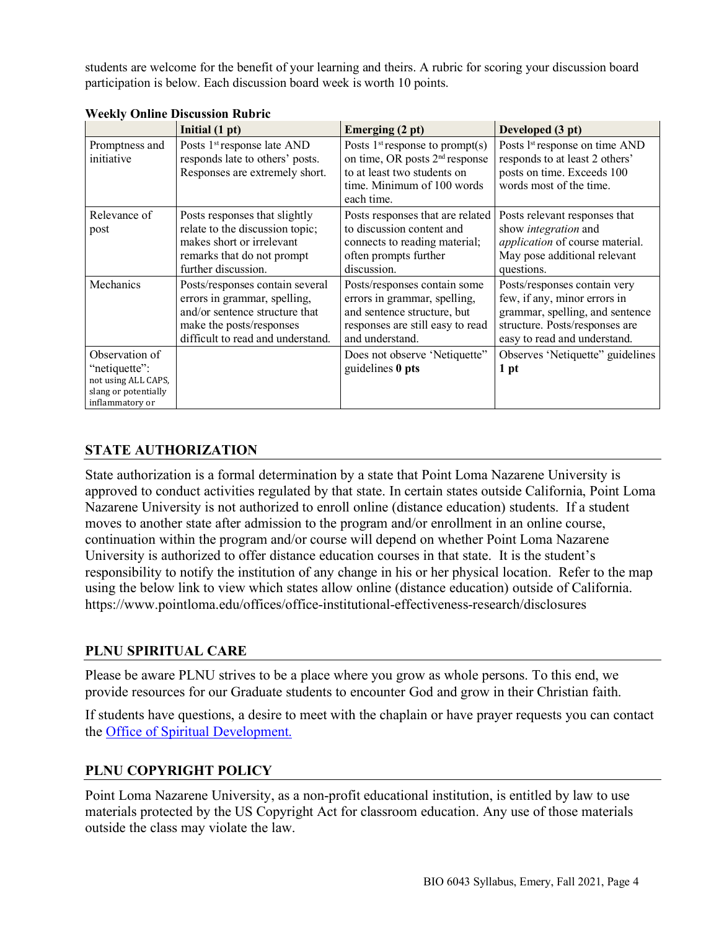students are welcome for the benefit of your learning and theirs. A rubric for scoring your discussion board participation is below. Each discussion board week is worth 10 points.

|                                                                                                   | Initial (1 pt)                                                                                                                                                     | Emerging (2 pt)                                                                                                                                            | Developed (3 pt)                                                                                                                                                  |
|---------------------------------------------------------------------------------------------------|--------------------------------------------------------------------------------------------------------------------------------------------------------------------|------------------------------------------------------------------------------------------------------------------------------------------------------------|-------------------------------------------------------------------------------------------------------------------------------------------------------------------|
| Promptness and<br>initiative                                                                      | Posts 1 <sup>st</sup> response late AND<br>responds late to others' posts.<br>Responses are extremely short.                                                       | Posts $1st$ response to prompt(s)<br>on time, OR posts 2 <sup>nd</sup> response<br>to at least two students on<br>time. Minimum of 100 words<br>each time. | Posts 1 <sup>st</sup> response on time AND<br>responds to at least 2 others'<br>posts on time. Exceeds 100<br>words most of the time.                             |
| Relevance of<br>post                                                                              | Posts responses that slightly<br>relate to the discussion topic;<br>makes short or irrelevant<br>remarks that do not prompt<br>further discussion.                 | Posts responses that are related<br>to discussion content and<br>connects to reading material;<br>often prompts further<br>discussion.                     | Posts relevant responses that<br>show <i>integration</i> and<br>application of course material.<br>May pose additional relevant<br>questions.                     |
| Mechanics                                                                                         | Posts/responses contain several<br>errors in grammar, spelling,<br>and/or sentence structure that<br>make the posts/responses<br>difficult to read and understand. | Posts/responses contain some<br>errors in grammar, spelling,<br>and sentence structure, but<br>responses are still easy to read<br>and understand.         | Posts/responses contain very<br>few, if any, minor errors in<br>grammar, spelling, and sentence<br>structure. Posts/responses are<br>easy to read and understand. |
| Observation of<br>"netiquette":<br>not using ALL CAPS,<br>slang or potentially<br>inflammatory or |                                                                                                                                                                    | Does not observe 'Netiquette''<br>guidelines $0$ pts                                                                                                       | Observes 'Netiquette'' guidelines<br>1 pt                                                                                                                         |

**Weekly Online Discussion Rubric** 

# **STATE AUTHORIZATION**

State authorization is a formal determination by a state that Point Loma Nazarene University is approved to conduct activities regulated by that state. In certain states outside California, Point Loma Nazarene University is not authorized to enroll online (distance education) students. If a student moves to another state after admission to the program and/or enrollment in an online course, continuation within the program and/or course will depend on whether Point Loma Nazarene University is authorized to offer distance education courses in that state. It is the student's responsibility to notify the institution of any change in his or her physical location. Refer to the map using the below link to view which states allow online (distance education) outside of California. https://www.pointloma.edu/offices/office-institutional-effectiveness-research/disclosures

## **PLNU SPIRITUAL CARE**

Please be aware PLNU strives to be a place where you grow as whole persons. To this end, we provide resources for our Graduate students to encounter God and grow in their Christian faith.

If students have questions, a desire to meet with the chaplain or have prayer requests you can contact the Office of Spiritual Development.

## **PLNU COPYRIGHT POLICY**

Point Loma Nazarene University, as a non-profit educational institution, is entitled by law to use materials protected by the US Copyright Act for classroom education. Any use of those materials outside the class may violate the law.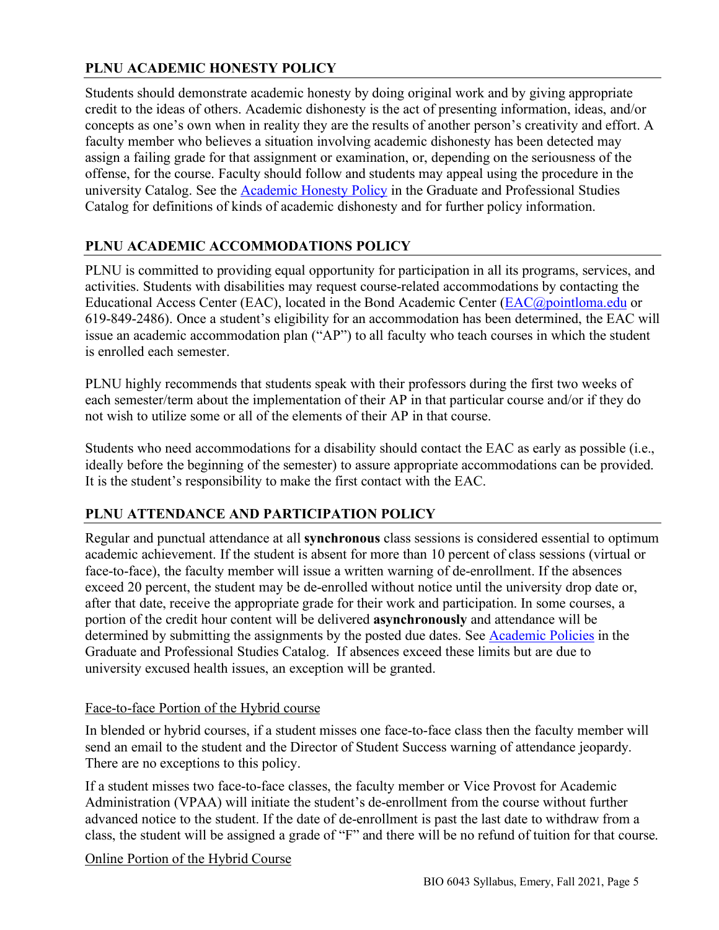# **PLNU ACADEMIC HONESTY POLICY**

Students should demonstrate academic honesty by doing original work and by giving appropriate credit to the ideas of others. Academic dishonesty is the act of presenting information, ideas, and/or concepts as one's own when in reality they are the results of another person's creativity and effort. A faculty member who believes a situation involving academic dishonesty has been detected may assign a failing grade for that assignment or examination, or, depending on the seriousness of the offense, for the course. Faculty should follow and students may appeal using the procedure in the university Catalog. See the **Academic Honesty Policy** in the Graduate and Professional Studies Catalog for definitions of kinds of academic dishonesty and for further policy information.

# **PLNU ACADEMIC ACCOMMODATIONS POLICY**

PLNU is committed to providing equal opportunity for participation in all its programs, services, and activities. Students with disabilities may request course-related accommodations by contacting the Educational Access Center (EAC), located in the Bond Academic Center (EAC@pointloma.edu or 619-849-2486). Once a student's eligibility for an accommodation has been determined, the EAC will issue an academic accommodation plan ("AP") to all faculty who teach courses in which the student is enrolled each semester.

PLNU highly recommends that students speak with their professors during the first two weeks of each semester/term about the implementation of their AP in that particular course and/or if they do not wish to utilize some or all of the elements of their AP in that course.

Students who need accommodations for a disability should contact the EAC as early as possible (i.e., ideally before the beginning of the semester) to assure appropriate accommodations can be provided. It is the student's responsibility to make the first contact with the EAC.

## **PLNU ATTENDANCE AND PARTICIPATION POLICY**

Regular and punctual attendance at all **synchronous** class sessions is considered essential to optimum academic achievement. If the student is absent for more than 10 percent of class sessions (virtual or face-to-face), the faculty member will issue a written warning of de-enrollment. If the absences exceed 20 percent, the student may be de-enrolled without notice until the university drop date or, after that date, receive the appropriate grade for their work and participation. In some courses, a portion of the credit hour content will be delivered **asynchronously** and attendance will be determined by submitting the assignments by the posted due dates. See Academic Policies in the Graduate and Professional Studies Catalog. If absences exceed these limits but are due to university excused health issues, an exception will be granted.

## Face-to-face Portion of the Hybrid course

In blended or hybrid courses, if a student misses one face-to-face class then the faculty member will send an email to the student and the Director of Student Success warning of attendance jeopardy. There are no exceptions to this policy.

If a student misses two face-to-face classes, the faculty member or Vice Provost for Academic Administration (VPAA) will initiate the student's de-enrollment from the course without further advanced notice to the student. If the date of de-enrollment is past the last date to withdraw from a class, the student will be assigned a grade of "F" and there will be no refund of tuition for that course.

## Online Portion of the Hybrid Course